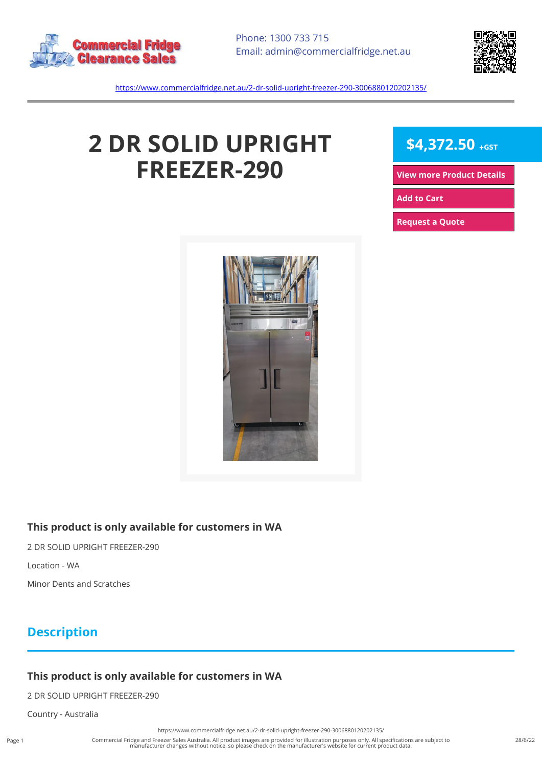



<https://www.commercialfridge.net.au/2-dr-solid-upright-freezer-290-3006880120202135/>

# **2 DR SOLID UPRIGHT FREEZER-290**



**[View more Product Details](https://www.commercialfridge.net.au/2-dr-solid-upright-freezer-290-3006880120202135/)**

**[Add to Cart](https://www.commercialfridge.net.au/2-dr-solid-upright-freezer-290-3006880120202135/?addtocart=1)** 

**[Request a Quote](https://www.commercialfridge.net.au/2-dr-solid-upright-freezer-290-3006880120202135/?requestaquote=1)** 



#### **This product is only available for customers in WA**

2 DR SOLID UPRIGHT FREEZER-290

Location - WA

Minor Dents and Scratches

## **Description**

### **This product is only available for customers in WA**

2 DR SOLID UPRIGHT FREEZER-290

Country - Australia

Page 1

<https://www.commercialfridge.net.au/2-dr-solid-upright-freezer-290-3006880120202135/>

Commercial Fridge and Freezer Sales Australia. All product images are provided for illustration purposes only. All specifications are subject to manufacturer changes without notice, so please check on the manufacturer's website for current product data.